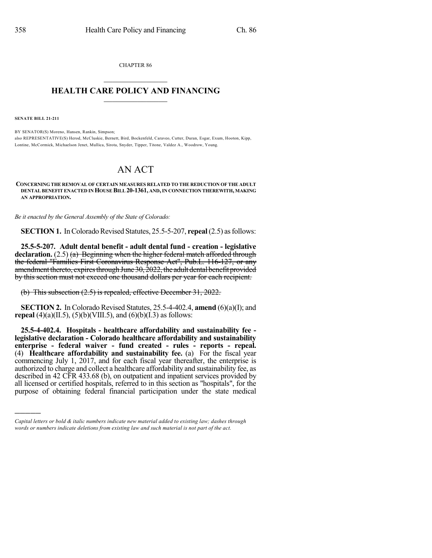CHAPTER 86  $\overline{\phantom{a}}$  . The set of the set of the set of the set of the set of the set of the set of the set of the set of the set of the set of the set of the set of the set of the set of the set of the set of the set of the set o

## **HEALTH CARE POLICY AND FINANCING**  $\_$   $\_$   $\_$   $\_$   $\_$   $\_$   $\_$   $\_$

**SENATE BILL 21-211**

)))))

BY SENATOR(S) Moreno, Hansen, Rankin, Simpson; also REPRESENTATIVE(S) Herod, McCluskie, Bernett, Bird, Bockenfeld, Caraveo, Cutter, Duran, Esgar, Exum, Hooton, Kipp, Lontine, McCormick, Michaelson Jenet, Mullica, Sirota, Snyder, Tipper, Titone, Valdez A., Woodrow, Young.

## AN ACT

## **CONCERNING THE REMOVAL OF CERTAIN MEASURES RELATED TO THE REDUCTION OF THE ADULT DENTAL BENEFIT ENACTED INHOUSE BILL20-1361, AND,IN CONNECTION THEREWITH, MAKING AN APPROPRIATION.**

*Be it enacted by the General Assembly of the State of Colorado:*

**SECTION 1.** In Colorado Revised Statutes, 25.5-5-207, **repeal** (2.5) as follows:

**25.5-5-207. Adult dental benefit - adult dental fund - creation - legislative declaration.** (2.5) (a) Beginning when the higher federal match afforded through the federal "Families First Coronavirus Response Act", Pub.L. 116-127, or any amendment thereto, expires through June  $30, \frac{2022}{100}$ , the adult dental benefit provided by this section must not exceed one thousand dollars per year for each recipient.

(b) This subsection (2.5) is repealed, effective December 31, 2022.

**SECTION 2.** In Colorado Revised Statutes, 25.5-4-402.4, **amend** (6)(a)(I); and **repeal** (4)(a)(II.5), (5)(b)(VIII.5), and (6)(b)(I.3) as follows:

**25.5-4-402.4. Hospitals - healthcare affordability and sustainability fee legislative declaration - Colorado healthcare affordability and sustainability enterprise - federal waiver - fund created - rules - reports - repeal.** (4) **Healthcare affordability and sustainability fee.** (a) For the fiscal year commencing July 1, 2017, and for each fiscal year thereafter, the enterprise is authorized to charge and collect a healthcare affordability and sustainability fee, as described in 42 CFR 433.68 (b), on outpatient and inpatient services provided by all licensed or certified hospitals, referred to in this section as "hospitals", for the purpose of obtaining federal financial participation under the state medical

*Capital letters or bold & italic numbers indicate new material added to existing law; dashes through words or numbers indicate deletions from existing law and such material is not part of the act.*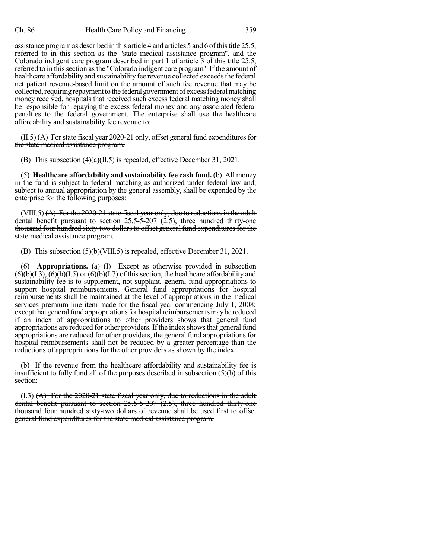assistance program as described in this article 4 and articles 5 and 6 of this title 25.5, referred to in this section as the "state medical assistance program", and the Colorado indigent care program described in part 1 of article 3 of this title 25.5, referred to in this section as the "Colorado indigent care program". If the amount of healthcare affordability and sustainability fee revenue collected exceeds the federal net patient revenue-based limit on the amount of such fee revenue that may be collected, requiring repayment to the federal government of excess federal matching money received, hospitals that received such excess federal matching money shall be responsible for repaying the excess federal money and any associated federal penalties to the federal government. The enterprise shall use the healthcare affordability and sustainability fee revenue to:

 $(II.5)$   $(A)$  For state fiscal year 2020-21 only, offset general fund expenditures for the state medical assistance program.

(B) This subsection (4)(a)(II.5) is repealed, effective December 31, 2021.

(5) **Healthcare affordability and sustainability fee cash fund.** (b) All money in the fund is subject to federal matching as authorized under federal law and, subject to annual appropriation by the general assembly, shall be expended by the enterprise for the following purposes:

 $(VIII.5)$   $(A)$  For the 2020-21 state fiscal year only, due to reductions in the adult dental benefit pursuant to section 25.5-5-207 (2.5), three hundred thirty-one thousand four hundred sixty-two dollars to offset general fund expenditures for the state medical assistance program.

## (B) This subsection (5)(b)(VIII.5) is repealed, effective December 31, 2021.

(6) **Appropriations.** (a) (I) Except as otherwise provided in subsection  $(6)(b)(1.3)$ ,  $(6)(b)(1.5)$  or  $(6)(b)(1.7)$  of this section, the healthcare affordability and sustainability fee is to supplement, not supplant, general fund appropriations to support hospital reimbursements. General fund appropriations for hospital reimbursements shall be maintained at the level of appropriations in the medical services premium line item made for the fiscal year commencing July 1, 2008; except that general fund appropriations for hospital reimbursements may be reduced if an index of appropriations to other providers shows that general fund appropriations are reduced for other providers. If the index shows that general fund appropriations are reduced for other providers, the general fund appropriations for hospital reimbursements shall not be reduced by a greater percentage than the reductions of appropriations for the other providers as shown by the index.

(b) If the revenue from the healthcare affordability and sustainability fee is insufficient to fully fund all of the purposes described in subsection  $(5)(b)$  of this section:

(I.3) (A) For the 2020-21 state fiscal year only, due to reductions in the adult dental benefit pursuant to section  $25.5-5-207$   $(2.5)$ , three hundred thirty-one thousand four hundred sixty-two dollars of revenue shall be used first to offset general fund expenditures for the state medical assistance program.